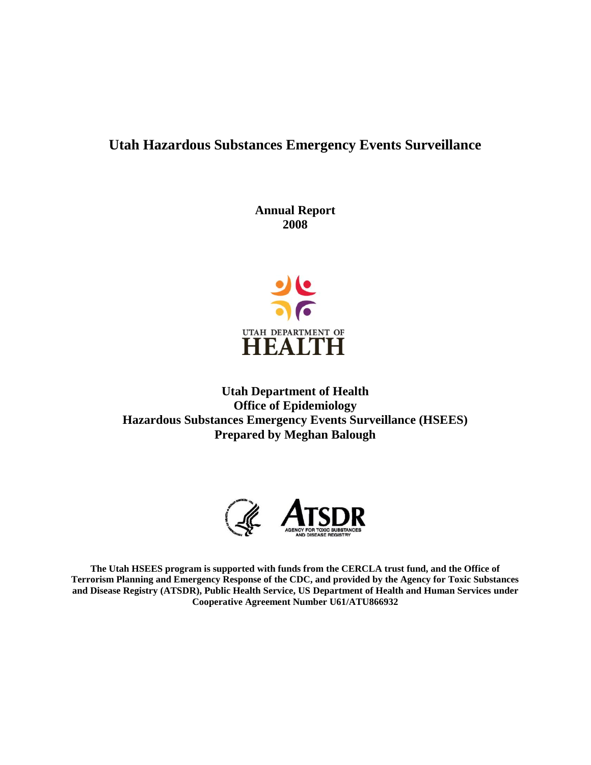# **Utah Hazardous Substances Emergency Events Surveillance**

**Annual Report 2008**



**Utah Department of Health Office of Epidemiology Hazardous Substances Emergency Events Surveillance (HSEES) Prepared by Meghan Balough**



**The Utah HSEES program is supported with funds from the CERCLA trust fund, and the Office of Terrorism Planning and Emergency Response of the CDC, and provided by the Agency for Toxic Substances and Disease Registry (ATSDR), Public Health Service, US Department of Health and Human Services under Cooperative Agreement Number U61/ATU866932**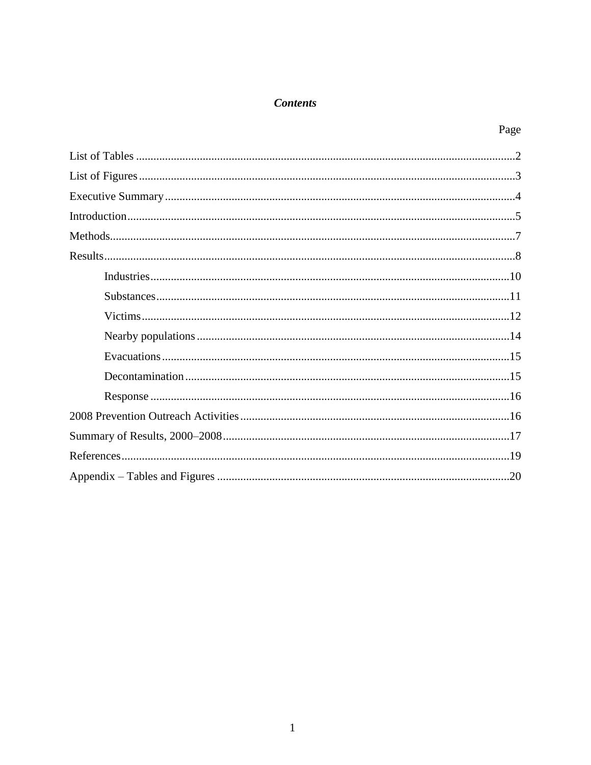## **Contents**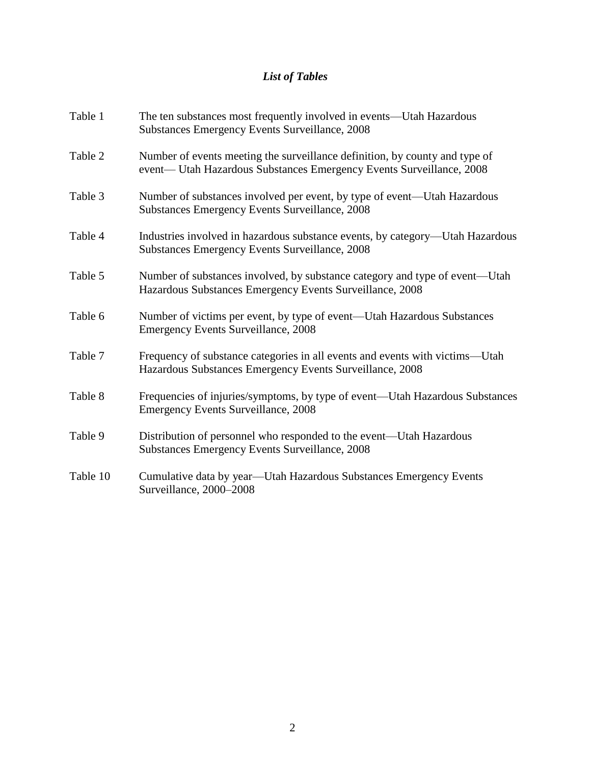# *List of Tables*

| Table 1  | The ten substances most frequently involved in events—Utah Hazardous<br>Substances Emergency Events Surveillance, 2008                              |
|----------|-----------------------------------------------------------------------------------------------------------------------------------------------------|
| Table 2  | Number of events meeting the surveillance definition, by county and type of<br>event— Utah Hazardous Substances Emergency Events Surveillance, 2008 |
| Table 3  | Number of substances involved per event, by type of event—Utah Hazardous<br>Substances Emergency Events Surveillance, 2008                          |
| Table 4  | Industries involved in hazardous substance events, by category—Utah Hazardous<br>Substances Emergency Events Surveillance, 2008                     |
| Table 5  | Number of substances involved, by substance category and type of event—Utah<br>Hazardous Substances Emergency Events Surveillance, 2008             |
| Table 6  | Number of victims per event, by type of event—Utah Hazardous Substances<br><b>Emergency Events Surveillance, 2008</b>                               |
| Table 7  | Frequency of substance categories in all events and events with victims—Utah<br>Hazardous Substances Emergency Events Surveillance, 2008            |
| Table 8  | Frequencies of injuries/symptoms, by type of event—Utah Hazardous Substances<br><b>Emergency Events Surveillance, 2008</b>                          |
| Table 9  | Distribution of personnel who responded to the event—Utah Hazardous<br>Substances Emergency Events Surveillance, 2008                               |
| Table 10 | Cumulative data by year—Utah Hazardous Substances Emergency Events<br>Surveillance, 2000-2008                                                       |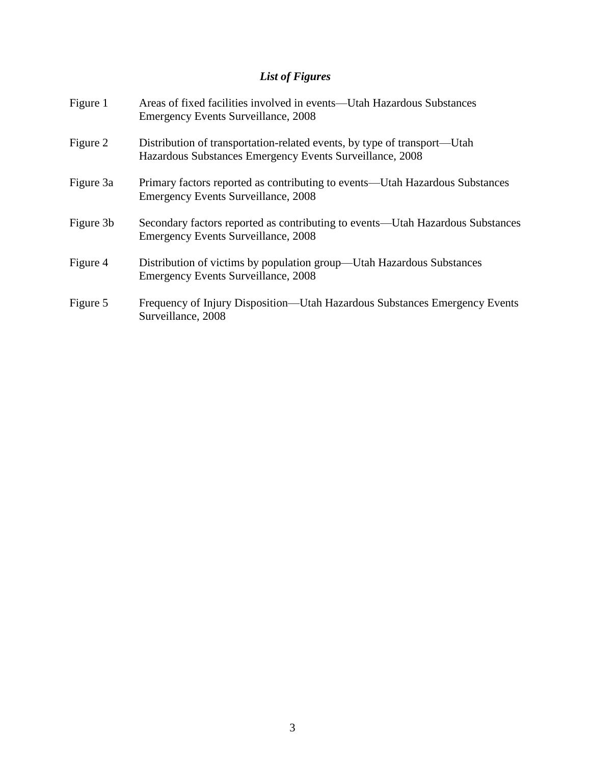# *List of Figures*

| Figure 1  | Areas of fixed facilities involved in events—Utah Hazardous Substances<br>Emergency Events Surveillance, 2008                        |
|-----------|--------------------------------------------------------------------------------------------------------------------------------------|
| Figure 2  | Distribution of transportation-related events, by type of transport—Utah<br>Hazardous Substances Emergency Events Surveillance, 2008 |
| Figure 3a | Primary factors reported as contributing to events—Utah Hazardous Substances<br><b>Emergency Events Surveillance, 2008</b>           |
| Figure 3b | Secondary factors reported as contributing to events—Utah Hazardous Substances<br><b>Emergency Events Surveillance, 2008</b>         |
| Figure 4  | Distribution of victims by population group—Utah Hazardous Substances<br><b>Emergency Events Surveillance, 2008</b>                  |
| Figure 5  | Frequency of Injury Disposition—Utah Hazardous Substances Emergency Events<br>Surveillance, 2008                                     |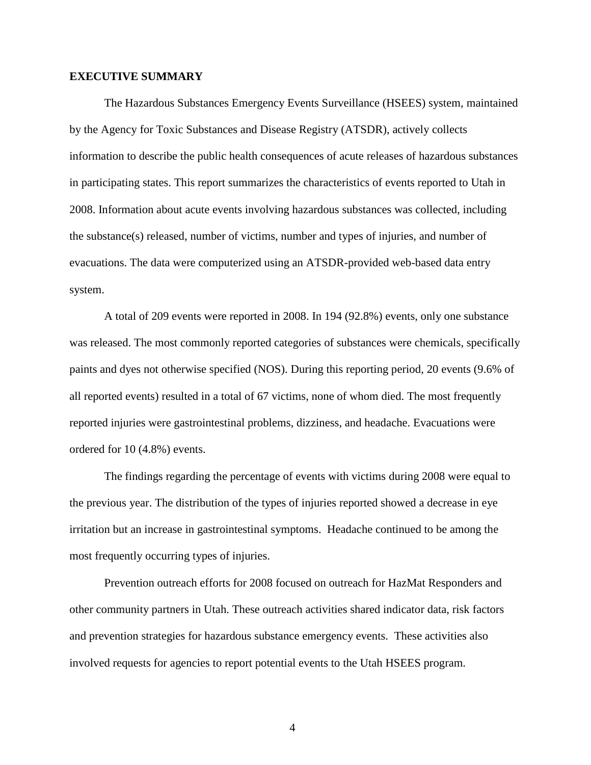#### **EXECUTIVE SUMMARY**

The Hazardous Substances Emergency Events Surveillance (HSEES) system, maintained by the Agency for Toxic Substances and Disease Registry (ATSDR), actively collects information to describe the public health consequences of acute releases of hazardous substances in participating states. This report summarizes the characteristics of events reported to Utah in 2008. Information about acute events involving hazardous substances was collected, including the substance(s) released, number of victims, number and types of injuries, and number of evacuations. The data were computerized using an ATSDR-provided web-based data entry system.

A total of 209 events were reported in 2008. In 194 (92.8%) events, only one substance was released. The most commonly reported categories of substances were chemicals, specifically paints and dyes not otherwise specified (NOS). During this reporting period, 20 events (9.6% of all reported events) resulted in a total of 67 victims, none of whom died. The most frequently reported injuries were gastrointestinal problems, dizziness, and headache. Evacuations were ordered for 10 (4.8%) events.

The findings regarding the percentage of events with victims during 2008 were equal to the previous year. The distribution of the types of injuries reported showed a decrease in eye irritation but an increase in gastrointestinal symptoms. Headache continued to be among the most frequently occurring types of injuries.

Prevention outreach efforts for 2008 focused on outreach for HazMat Responders and other community partners in Utah. These outreach activities shared indicator data, risk factors and prevention strategies for hazardous substance emergency events. These activities also involved requests for agencies to report potential events to the Utah HSEES program.

4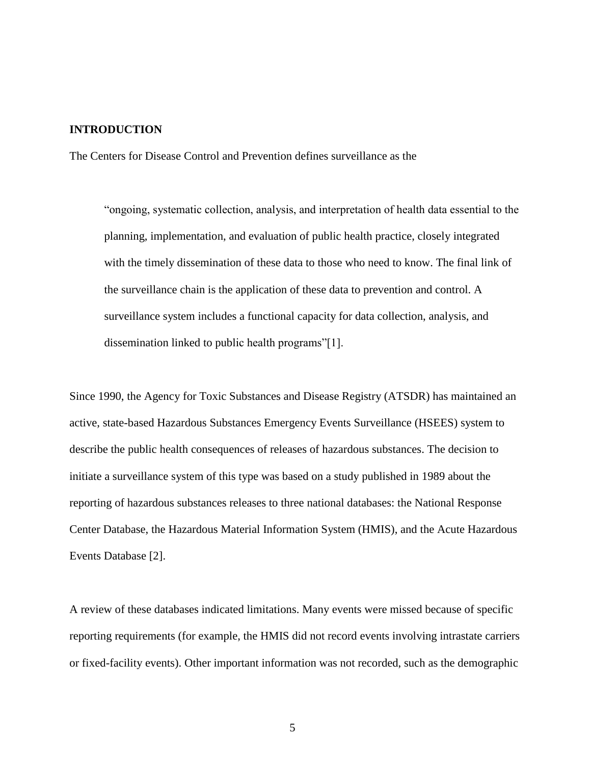### **INTRODUCTION**

The Centers for Disease Control and Prevention defines surveillance as the

"ongoing, systematic collection, analysis, and interpretation of health data essential to the planning, implementation, and evaluation of public health practice, closely integrated with the timely dissemination of these data to those who need to know. The final link of the surveillance chain is the application of these data to prevention and control. A surveillance system includes a functional capacity for data collection, analysis, and dissemination linked to public health programs"[1].

Since 1990, the Agency for Toxic Substances and Disease Registry (ATSDR) has maintained an active, state-based Hazardous Substances Emergency Events Surveillance (HSEES) system to describe the public health consequences of releases of hazardous substances. The decision to initiate a surveillance system of this type was based on a study published in 1989 about the reporting of hazardous substances releases to three national databases: the National Response Center Database, the Hazardous Material Information System (HMIS), and the Acute Hazardous Events Database [2].

A review of these databases indicated limitations. Many events were missed because of specific reporting requirements (for example, the HMIS did not record events involving intrastate carriers or fixed-facility events). Other important information was not recorded, such as the demographic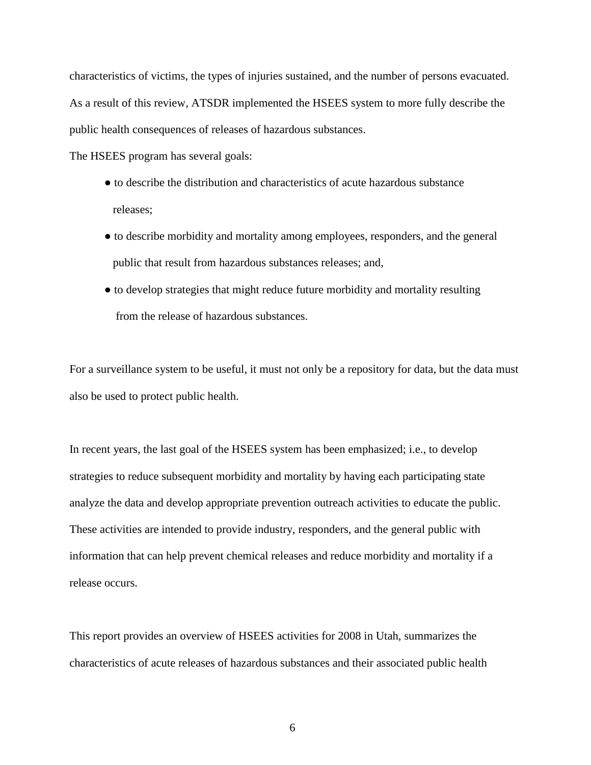characteristics of victims, the types of injuries sustained, and the number of persons evacuated. As a result of this review, ATSDR implemented the HSEES system to more fully describe the public health consequences of releases of hazardous substances.

The HSEES program has several goals:

- to describe the distribution and characteristics of acute hazardous substance releases;
- to describe morbidity and mortality among employees, responders, and the general public that result from hazardous substances releases; and,
- to develop strategies that might reduce future morbidity and mortality resulting from the release of hazardous substances.

For a surveillance system to be useful, it must not only be a repository for data, but the data must also be used to protect public health.

In recent years, the last goal of the HSEES system has been emphasized; i.e., to develop strategies to reduce subsequent morbidity and mortality by having each participating state analyze the data and develop appropriate prevention outreach activities to educate the public. These activities are intended to provide industry, responders, and the general public with information that can help prevent chemical releases and reduce morbidity and mortality if a release occurs.

This report provides an overview of HSEES activities for 2008 in Utah, summarizes the characteristics of acute releases of hazardous substances and their associated public health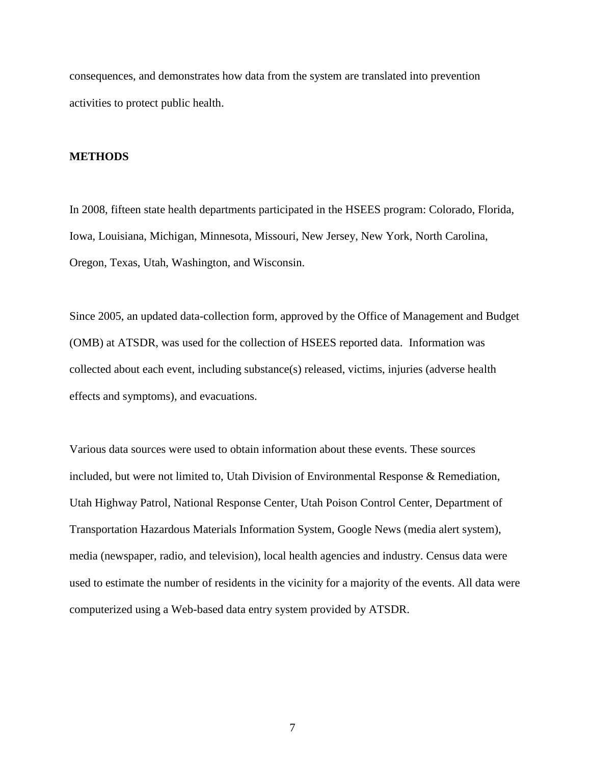consequences, and demonstrates how data from the system are translated into prevention activities to protect public health.

#### **METHODS**

In 2008, fifteen state health departments participated in the HSEES program: Colorado, Florida, Iowa, Louisiana, Michigan, Minnesota, Missouri, New Jersey, New York, North Carolina, Oregon, Texas, Utah, Washington, and Wisconsin.

Since 2005, an updated data-collection form, approved by the Office of Management and Budget (OMB) at ATSDR, was used for the collection of HSEES reported data. Information was collected about each event, including substance(s) released, victims, injuries (adverse health effects and symptoms), and evacuations.

Various data sources were used to obtain information about these events. These sources included, but were not limited to, Utah Division of Environmental Response & Remediation, Utah Highway Patrol, National Response Center, Utah Poison Control Center, Department of Transportation Hazardous Materials Information System, Google News (media alert system), media (newspaper, radio, and television), local health agencies and industry. Census data were used to estimate the number of residents in the vicinity for a majority of the events. All data were computerized using a Web-based data entry system provided by ATSDR.

7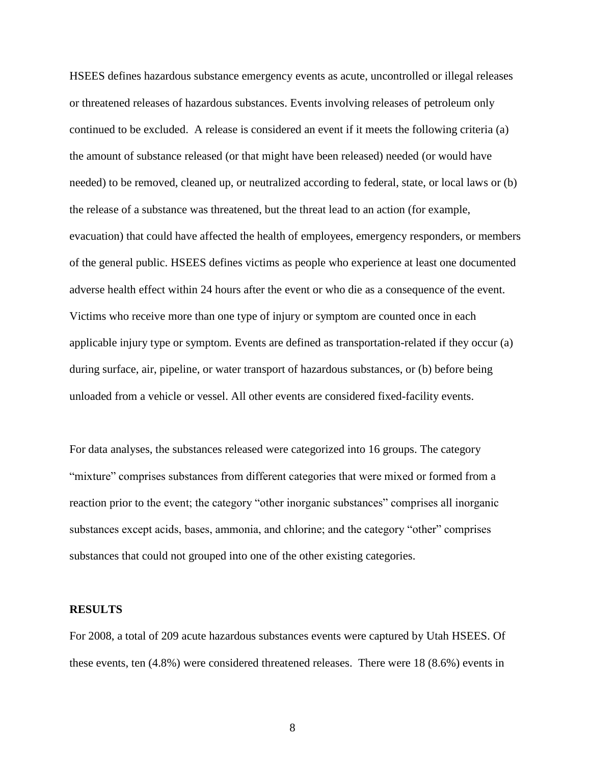HSEES defines hazardous substance emergency events as acute, uncontrolled or illegal releases or threatened releases of hazardous substances. Events involving releases of petroleum only continued to be excluded. A release is considered an event if it meets the following criteria (a) the amount of substance released (or that might have been released) needed (or would have needed) to be removed, cleaned up, or neutralized according to federal, state, or local laws or (b) the release of a substance was threatened, but the threat lead to an action (for example, evacuation) that could have affected the health of employees, emergency responders, or members of the general public. HSEES defines victims as people who experience at least one documented adverse health effect within 24 hours after the event or who die as a consequence of the event. Victims who receive more than one type of injury or symptom are counted once in each applicable injury type or symptom. Events are defined as transportation-related if they occur (a) during surface, air, pipeline, or water transport of hazardous substances, or (b) before being unloaded from a vehicle or vessel. All other events are considered fixed-facility events.

For data analyses, the substances released were categorized into 16 groups. The category "mixture" comprises substances from different categories that were mixed or formed from a reaction prior to the event; the category "other inorganic substances" comprises all inorganic substances except acids, bases, ammonia, and chlorine; and the category "other" comprises substances that could not grouped into one of the other existing categories.

#### **RESULTS**

For 2008, a total of 209 acute hazardous substances events were captured by Utah HSEES. Of these events, ten (4.8%) were considered threatened releases. There were 18 (8.6%) events in

8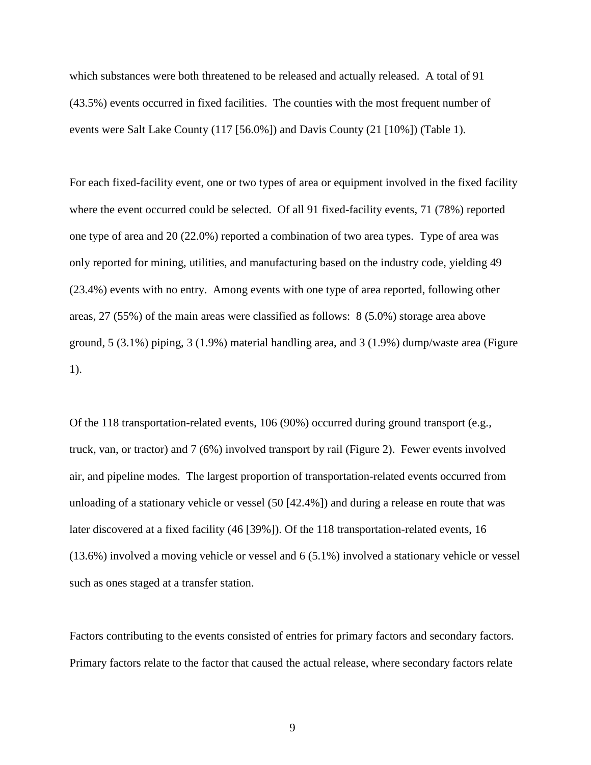which substances were both threatened to be released and actually released. A total of 91 (43.5%) events occurred in fixed facilities. The counties with the most frequent number of events were Salt Lake County (117 [56.0%]) and Davis County (21 [10%]) (Table 1).

For each fixed-facility event, one or two types of area or equipment involved in the fixed facility where the event occurred could be selected. Of all 91 fixed-facility events, 71 (78%) reported one type of area and 20 (22.0%) reported a combination of two area types. Type of area was only reported for mining, utilities, and manufacturing based on the industry code, yielding 49 (23.4%) events with no entry. Among events with one type of area reported, following other areas, 27 (55%) of the main areas were classified as follows: 8 (5.0%) storage area above ground, 5 (3.1%) piping, 3 (1.9%) material handling area, and 3 (1.9%) dump/waste area (Figure 1).

Of the 118 transportation-related events, 106 (90%) occurred during ground transport (e.g., truck, van, or tractor) and 7 (6%) involved transport by rail (Figure 2). Fewer events involved air, and pipeline modes. The largest proportion of transportation-related events occurred from unloading of a stationary vehicle or vessel (50 [42.4%]) and during a release en route that was later discovered at a fixed facility (46 [39%]). Of the 118 transportation-related events, 16 (13.6%) involved a moving vehicle or vessel and 6 (5.1%) involved a stationary vehicle or vessel such as ones staged at a transfer station.

Factors contributing to the events consisted of entries for primary factors and secondary factors. Primary factors relate to the factor that caused the actual release, where secondary factors relate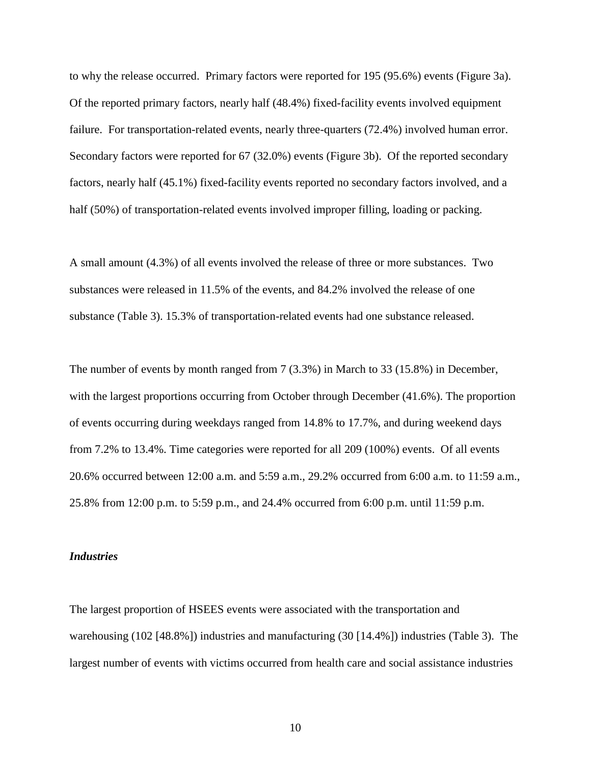to why the release occurred. Primary factors were reported for 195 (95.6%) events (Figure 3a). Of the reported primary factors, nearly half (48.4%) fixed-facility events involved equipment failure. For transportation-related events, nearly three-quarters (72.4%) involved human error. Secondary factors were reported for 67 (32.0%) events (Figure 3b). Of the reported secondary factors, nearly half (45.1%) fixed-facility events reported no secondary factors involved, and a half (50%) of transportation-related events involved improper filling, loading or packing.

A small amount (4.3%) of all events involved the release of three or more substances. Two substances were released in 11.5% of the events, and 84.2% involved the release of one substance (Table 3). 15.3% of transportation-related events had one substance released.

The number of events by month ranged from 7 (3.3%) in March to 33 (15.8%) in December, with the largest proportions occurring from October through December (41.6%). The proportion of events occurring during weekdays ranged from 14.8% to 17.7%, and during weekend days from 7.2% to 13.4%. Time categories were reported for all 209 (100%) events. Of all events 20.6% occurred between 12:00 a.m. and 5:59 a.m., 29.2% occurred from 6:00 a.m. to 11:59 a.m., 25.8% from 12:00 p.m. to 5:59 p.m., and 24.4% occurred from 6:00 p.m. until 11:59 p.m.

#### *Industries*

The largest proportion of HSEES events were associated with the transportation and warehousing (102 [48.8%]) industries and manufacturing (30 [14.4%]) industries (Table 3). The largest number of events with victims occurred from health care and social assistance industries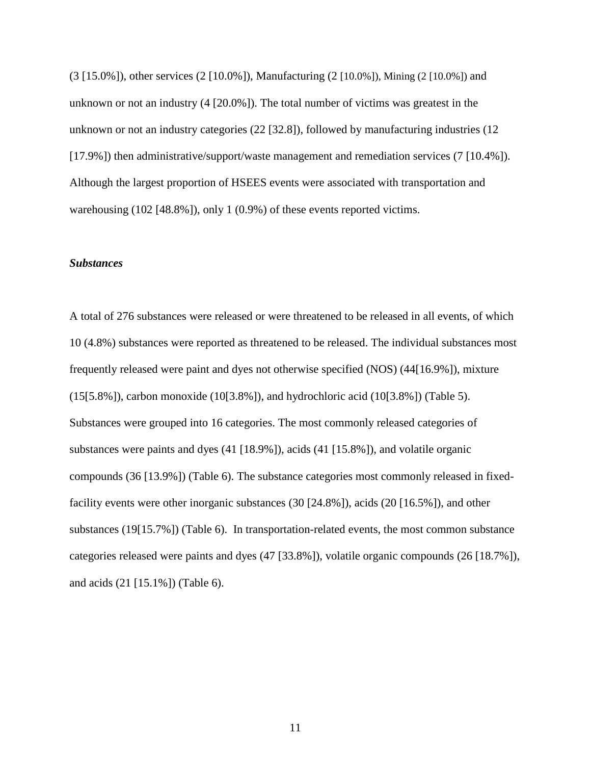(3 [15.0%]), other services (2 [10.0%]), Manufacturing (2 [10.0%]), Mining (2 [10.0%]) and unknown or not an industry (4 [20.0%]). The total number of victims was greatest in the unknown or not an industry categories (22 [32.8]), followed by manufacturing industries (12 [17.9%]) then administrative/support/waste management and remediation services (7 [10.4%]). Although the largest proportion of HSEES events were associated with transportation and warehousing (102 [48.8%]), only 1 (0.9%) of these events reported victims.

### *Substances*

A total of 276 substances were released or were threatened to be released in all events, of which 10 (4.8%) substances were reported as threatened to be released. The individual substances most frequently released were paint and dyes not otherwise specified (NOS) (44[16.9%]), mixture (15[5.8%]), carbon monoxide (10[3.8%]), and hydrochloric acid (10[3.8%]) (Table 5). Substances were grouped into 16 categories. The most commonly released categories of substances were paints and dyes (41 [18.9%]), acids (41 [15.8%]), and volatile organic compounds (36 [13.9%]) (Table 6). The substance categories most commonly released in fixedfacility events were other inorganic substances (30 [24.8%]), acids (20 [16.5%]), and other substances (19[15.7%]) (Table 6). In transportation-related events, the most common substance categories released were paints and dyes (47 [33.8%]), volatile organic compounds (26 [18.7%]), and acids (21 [15.1%]) (Table 6).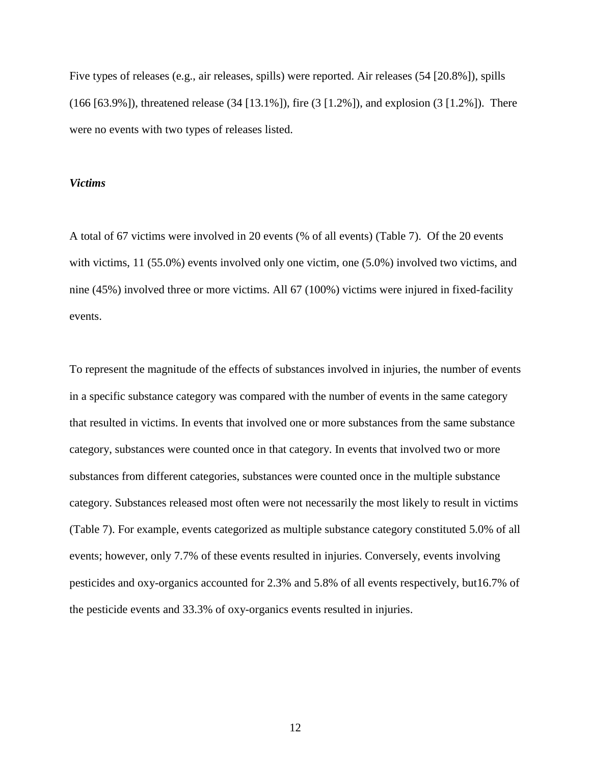Five types of releases (e.g., air releases, spills) were reported. Air releases (54 [20.8%]), spills (166 [63.9%]), threatened release (34 [13.1%]), fire (3 [1.2%]), and explosion (3 [1.2%]). There were no events with two types of releases listed.

### *Victims*

A total of 67 victims were involved in 20 events (% of all events) (Table 7). Of the 20 events with victims, 11 (55.0%) events involved only one victim, one (5.0%) involved two victims, and nine (45%) involved three or more victims. All 67 (100%) victims were injured in fixed-facility events.

To represent the magnitude of the effects of substances involved in injuries, the number of events in a specific substance category was compared with the number of events in the same category that resulted in victims. In events that involved one or more substances from the same substance category, substances were counted once in that category. In events that involved two or more substances from different categories, substances were counted once in the multiple substance category. Substances released most often were not necessarily the most likely to result in victims (Table 7). For example, events categorized as multiple substance category constituted 5.0% of all events; however, only 7.7% of these events resulted in injuries. Conversely, events involving pesticides and oxy-organics accounted for 2.3% and 5.8% of all events respectively, but16.7% of the pesticide events and 33.3% of oxy-organics events resulted in injuries.

12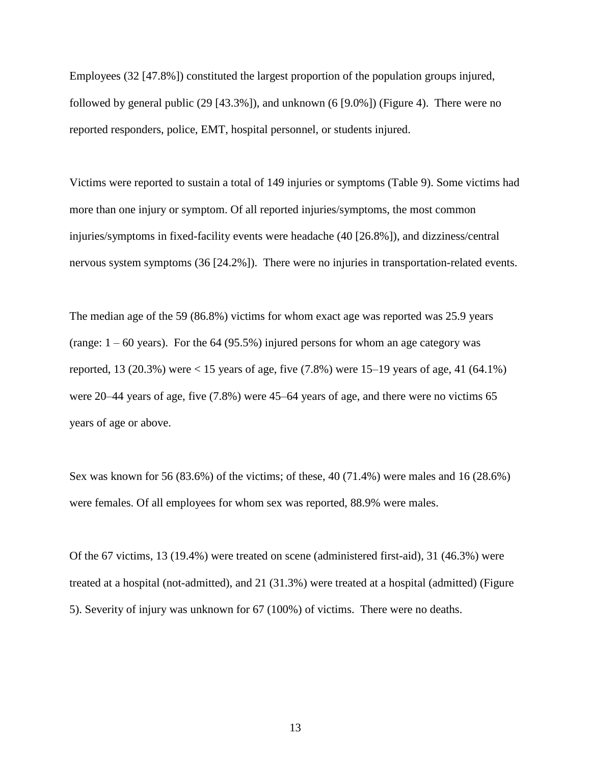Employees (32 [47.8%]) constituted the largest proportion of the population groups injured, followed by general public (29 [43.3%]), and unknown (6 [9.0%]) (Figure 4). There were no reported responders, police, EMT, hospital personnel, or students injured.

Victims were reported to sustain a total of 149 injuries or symptoms (Table 9). Some victims had more than one injury or symptom. Of all reported injuries/symptoms, the most common injuries/symptoms in fixed-facility events were headache (40 [26.8%]), and dizziness/central nervous system symptoms (36 [24.2%]). There were no injuries in transportation-related events.

The median age of the 59 (86.8%) victims for whom exact age was reported was 25.9 years (range:  $1 - 60$  years). For the 64 (95.5%) injured persons for whom an age category was reported, 13 (20.3%) were  $< 15$  years of age, five (7.8%) were 15–19 years of age, 41 (64.1%) were 20–44 years of age, five (7.8%) were 45–64 years of age, and there were no victims 65 years of age or above.

Sex was known for 56 (83.6%) of the victims; of these, 40 (71.4%) were males and 16 (28.6%) were females. Of all employees for whom sex was reported, 88.9% were males.

Of the 67 victims, 13 (19.4%) were treated on scene (administered first-aid), 31 (46.3%) were treated at a hospital (not-admitted), and 21 (31.3%) were treated at a hospital (admitted) (Figure 5). Severity of injury was unknown for 67 (100%) of victims. There were no deaths.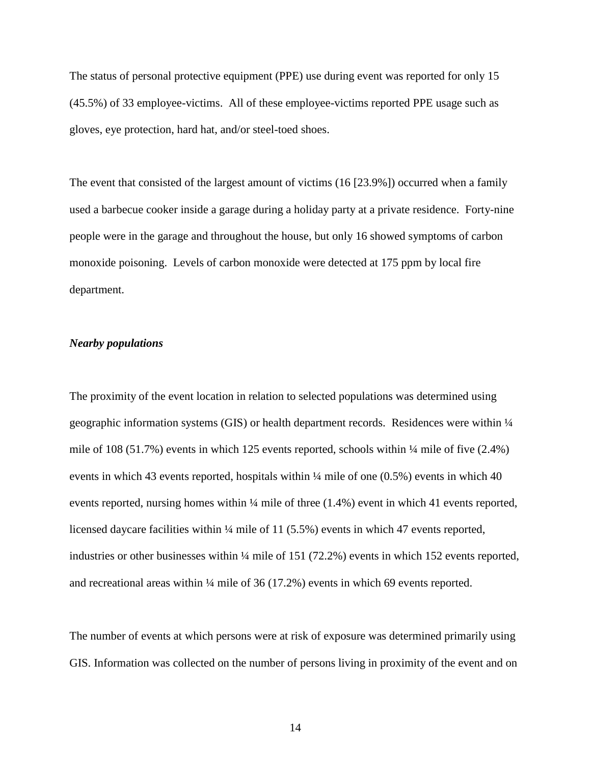The status of personal protective equipment (PPE) use during event was reported for only 15 (45.5%) of 33 employee-victims. All of these employee-victims reported PPE usage such as gloves, eye protection, hard hat, and/or steel-toed shoes.

The event that consisted of the largest amount of victims (16 [23.9%]) occurred when a family used a barbecue cooker inside a garage during a holiday party at a private residence. Forty-nine people were in the garage and throughout the house, but only 16 showed symptoms of carbon monoxide poisoning. Levels of carbon monoxide were detected at 175 ppm by local fire department.

### *Nearby populations*

The proximity of the event location in relation to selected populations was determined using geographic information systems (GIS) or health department records. Residences were within ¼ mile of 108 (51.7%) events in which 125 events reported, schools within  $\frac{1}{4}$  mile of five (2.4%) events in which 43 events reported, hospitals within  $\frac{1}{4}$  mile of one (0.5%) events in which 40 events reported, nursing homes within ¼ mile of three (1.4%) event in which 41 events reported, licensed daycare facilities within 1/4 mile of 11 (5.5%) events in which 47 events reported, industries or other businesses within ¼ mile of 151 (72.2%) events in which 152 events reported, and recreational areas within ¼ mile of 36 (17.2%) events in which 69 events reported.

The number of events at which persons were at risk of exposure was determined primarily using GIS. Information was collected on the number of persons living in proximity of the event and on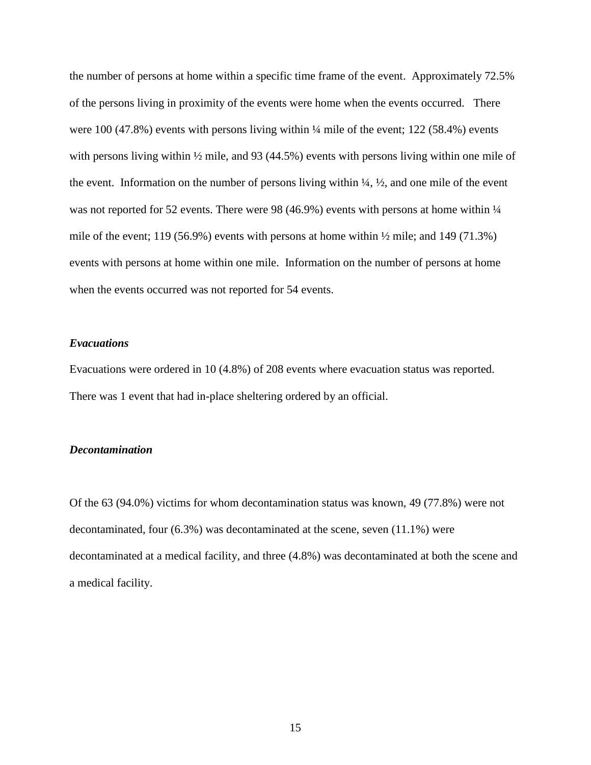the number of persons at home within a specific time frame of the event. Approximately 72.5% of the persons living in proximity of the events were home when the events occurred. There were 100 (47.8%) events with persons living within  $\frac{1}{4}$  mile of the event; 122 (58.4%) events with persons living within  $\frac{1}{2}$  mile, and 93 (44.5%) events with persons living within one mile of the event. Information on the number of persons living within  $\frac{1}{4}$ ,  $\frac{1}{2}$ , and one mile of the event was not reported for 52 events. There were 98 (46.9%) events with persons at home within  $\frac{1}{4}$ mile of the event; 119 (56.9%) events with persons at home within  $\frac{1}{2}$  mile; and 149 (71.3%) events with persons at home within one mile. Information on the number of persons at home when the events occurred was not reported for 54 events.

#### *Evacuations*

Evacuations were ordered in 10 (4.8%) of 208 events where evacuation status was reported. There was 1 event that had in-place sheltering ordered by an official.

#### *Decontamination*

Of the 63 (94.0%) victims for whom decontamination status was known, 49 (77.8%) were not decontaminated, four (6.3%) was decontaminated at the scene, seven (11.1%) were decontaminated at a medical facility, and three (4.8%) was decontaminated at both the scene and a medical facility.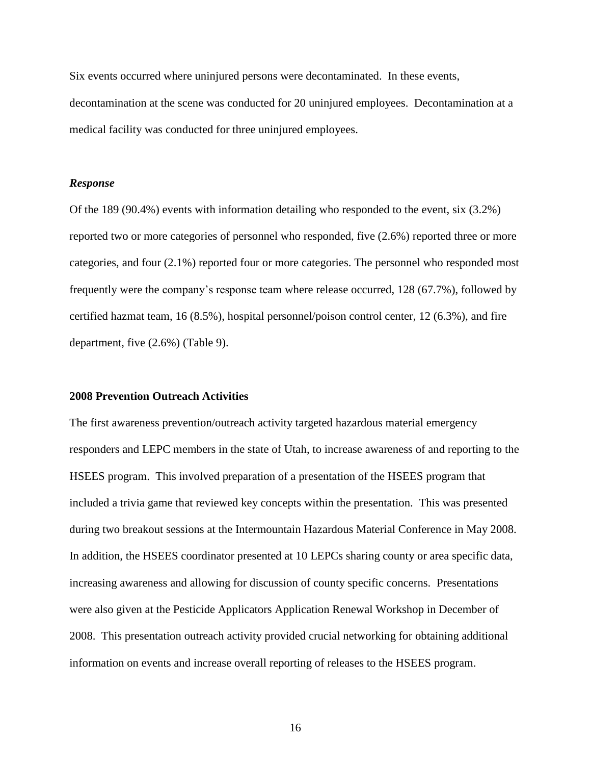Six events occurred where uninjured persons were decontaminated. In these events, decontamination at the scene was conducted for 20 uninjured employees. Decontamination at a medical facility was conducted for three uninjured employees.

#### *Response*

Of the 189 (90.4%) events with information detailing who responded to the event, six (3.2%) reported two or more categories of personnel who responded, five (2.6%) reported three or more categories, and four (2.1%) reported four or more categories. The personnel who responded most frequently were the company's response team where release occurred, 128 (67.7%), followed by certified hazmat team, 16 (8.5%), hospital personnel/poison control center, 12 (6.3%), and fire department, five (2.6%) (Table 9).

### **2008 Prevention Outreach Activities**

The first awareness prevention/outreach activity targeted hazardous material emergency responders and LEPC members in the state of Utah, to increase awareness of and reporting to the HSEES program. This involved preparation of a presentation of the HSEES program that included a trivia game that reviewed key concepts within the presentation. This was presented during two breakout sessions at the Intermountain Hazardous Material Conference in May 2008. In addition, the HSEES coordinator presented at 10 LEPCs sharing county or area specific data, increasing awareness and allowing for discussion of county specific concerns. Presentations were also given at the Pesticide Applicators Application Renewal Workshop in December of 2008. This presentation outreach activity provided crucial networking for obtaining additional information on events and increase overall reporting of releases to the HSEES program.

16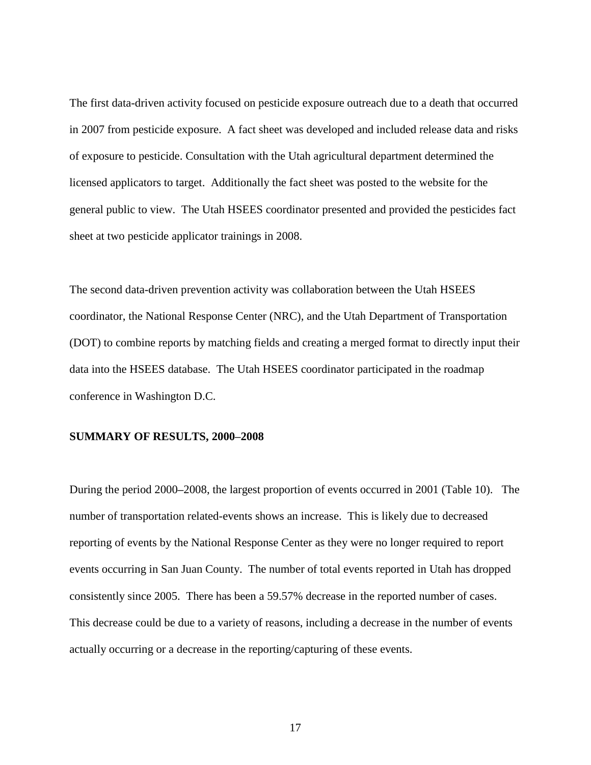The first data-driven activity focused on pesticide exposure outreach due to a death that occurred in 2007 from pesticide exposure. A fact sheet was developed and included release data and risks of exposure to pesticide. Consultation with the Utah agricultural department determined the licensed applicators to target. Additionally the fact sheet was posted to the website for the general public to view. The Utah HSEES coordinator presented and provided the pesticides fact sheet at two pesticide applicator trainings in 2008.

The second data-driven prevention activity was collaboration between the Utah HSEES coordinator, the National Response Center (NRC), and the Utah Department of Transportation (DOT) to combine reports by matching fields and creating a merged format to directly input their data into the HSEES database. The Utah HSEES coordinator participated in the roadmap conference in Washington D.C.

#### **SUMMARY OF RESULTS, 2000–2008**

During the period 2000**–**2008, the largest proportion of events occurred in 2001 (Table 10). The number of transportation related-events shows an increase. This is likely due to decreased reporting of events by the National Response Center as they were no longer required to report events occurring in San Juan County. The number of total events reported in Utah has dropped consistently since 2005. There has been a 59.57% decrease in the reported number of cases. This decrease could be due to a variety of reasons, including a decrease in the number of events actually occurring or a decrease in the reporting/capturing of these events.

17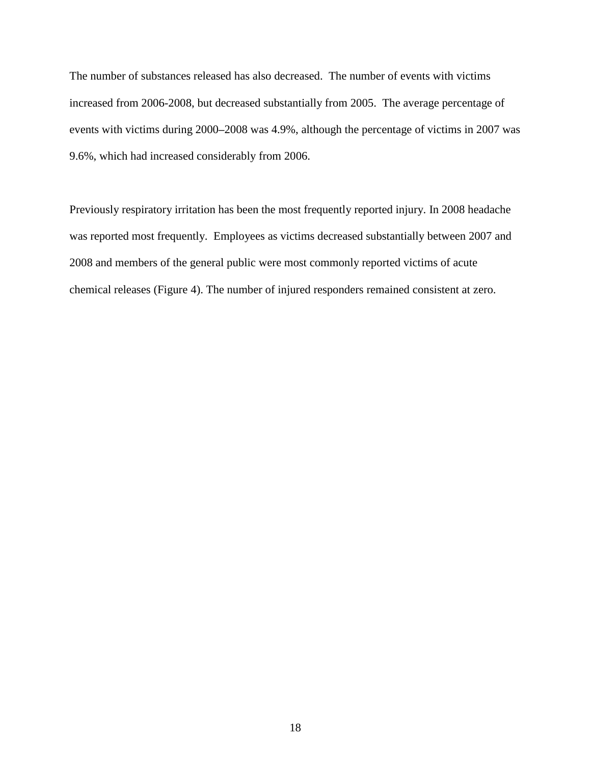The number of substances released has also decreased. The number of events with victims increased from 2006-2008, but decreased substantially from 2005. The average percentage of events with victims during 2000**–**2008 was 4.9%, although the percentage of victims in 2007 was 9.6%, which had increased considerably from 2006.

Previously respiratory irritation has been the most frequently reported injury. In 2008 headache was reported most frequently. Employees as victims decreased substantially between 2007 and 2008 and members of the general public were most commonly reported victims of acute chemical releases (Figure 4). The number of injured responders remained consistent at zero.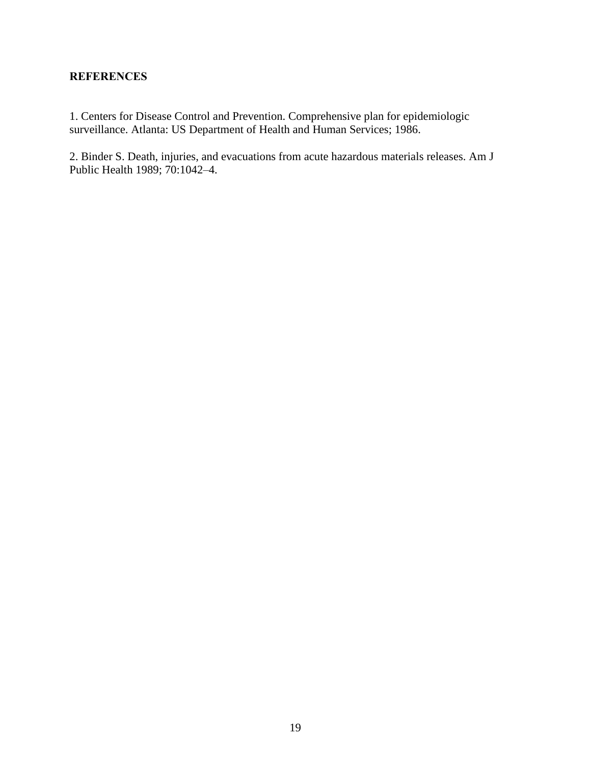## **REFERENCES**

1. Centers for Disease Control and Prevention. Comprehensive plan for epidemiologic surveillance. Atlanta: US Department of Health and Human Services; 1986.

2. Binder S. Death, injuries, and evacuations from acute hazardous materials releases. Am J Public Health 1989; 70:1042–4.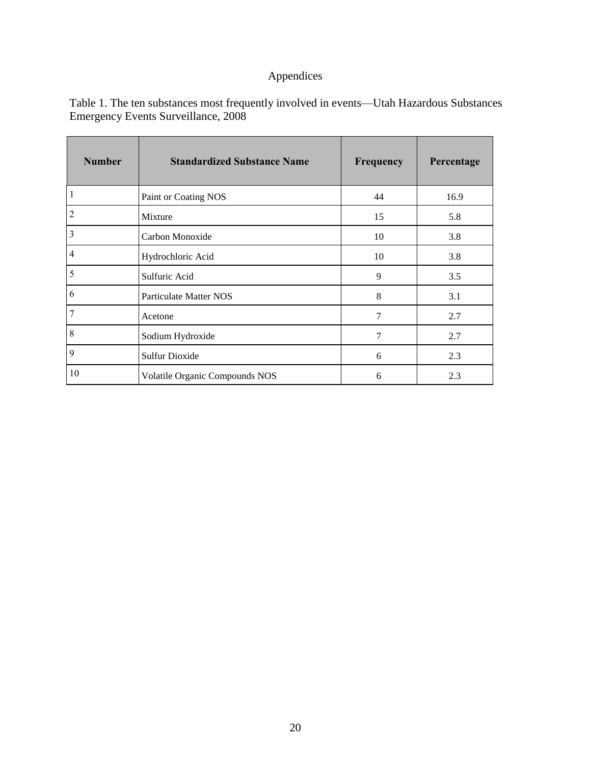## Appendices

| <b>Number</b>  | <b>Standardized Substance Name</b> | Frequency      | Percentage |
|----------------|------------------------------------|----------------|------------|
| $\mathbf{1}$   | Paint or Coating NOS               | 44             | 16.9       |
| $\overline{2}$ | Mixture                            | 15             | 5.8        |
| 3              | Carbon Monoxide                    | 10             | 3.8        |
| $\overline{4}$ | Hydrochloric Acid                  | 10             | 3.8        |
| 5              | Sulfuric Acid                      | 9              | 3.5        |
| 6              | <b>Particulate Matter NOS</b>      | 8              | 3.1        |
| 7              | Acetone                            | $\overline{7}$ | 2.7        |
| 8              | Sodium Hydroxide                   | 7              | 2.7        |
| 9              | <b>Sulfur Dioxide</b>              | 6              | 2.3        |
| 10             | Volatile Organic Compounds NOS     | 6              | 2.3        |

Table 1. The ten substances most frequently involved in events—Utah Hazardous Substances Emergency Events Surveillance, 2008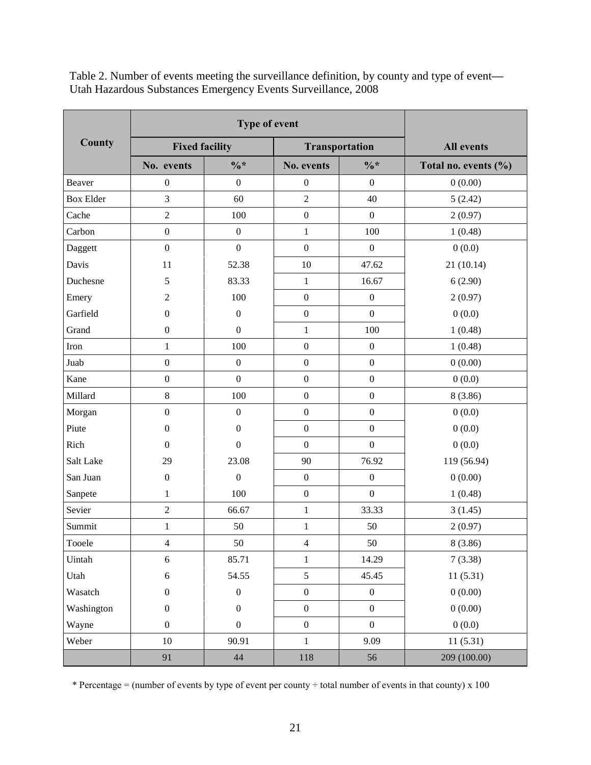| County           | <b>Fixed facility</b> |                  |                  | <b>Transportation</b> | <b>All events</b>    |
|------------------|-----------------------|------------------|------------------|-----------------------|----------------------|
|                  | No. events            | $\frac{0}{6}$ *  | No. events       | $\frac{0}{6}$ *       | Total no. events (%) |
| Beaver           | $\boldsymbol{0}$      | $\boldsymbol{0}$ | $\boldsymbol{0}$ | $\boldsymbol{0}$      | 0(0.00)              |
| <b>Box Elder</b> | 3                     | 60               | $\overline{2}$   | 40                    | 5(2.42)              |
| Cache            | 2                     | 100              | $\boldsymbol{0}$ | $\boldsymbol{0}$      | 2(0.97)              |
| Carbon           | $\boldsymbol{0}$      | $\boldsymbol{0}$ | $\mathbf{1}$     | 100                   | 1(0.48)              |
| Daggett          | $\boldsymbol{0}$      | $\boldsymbol{0}$ | $\boldsymbol{0}$ | $\boldsymbol{0}$      | 0(0.0)               |
| Davis            | 11                    | 52.38            | 10               | 47.62                 | 21 (10.14)           |
| Duchesne         | 5                     | 83.33            | $\,1$            | 16.67                 | 6(2.90)              |
| Emery            | $\overline{2}$        | 100              | $\boldsymbol{0}$ | $\boldsymbol{0}$      | 2(0.97)              |
| Garfield         | $\boldsymbol{0}$      | $\boldsymbol{0}$ | $\boldsymbol{0}$ | $\mathbf{0}$          | 0(0.0)               |
| Grand            | $\boldsymbol{0}$      | $\boldsymbol{0}$ | $\mathbf{1}$     | 100                   | 1(0.48)              |
| Iron             | $\,1$                 | 100              | $\boldsymbol{0}$ | $\boldsymbol{0}$      | 1(0.48)              |
| Juab             | $\boldsymbol{0}$      | $\boldsymbol{0}$ | $\boldsymbol{0}$ | $\boldsymbol{0}$      | 0(0.00)              |
| Kane             | $\boldsymbol{0}$      | $\overline{0}$   | $\boldsymbol{0}$ | $\boldsymbol{0}$      | 0(0.0)               |
| Millard          | $8\,$                 | 100              | $\boldsymbol{0}$ | $\boldsymbol{0}$      | 8(3.86)              |
| Morgan           | $\boldsymbol{0}$      | $\boldsymbol{0}$ | $\boldsymbol{0}$ | $\boldsymbol{0}$      | 0(0.0)               |
| Piute            | $\boldsymbol{0}$      | $\boldsymbol{0}$ | $\boldsymbol{0}$ | $\boldsymbol{0}$      | 0(0.0)               |
| Rich             | $\boldsymbol{0}$      | $\boldsymbol{0}$ | $\mathbf{0}$     | $\overline{0}$        | 0(0.0)               |
| Salt Lake        | 29                    | 23.08            | 90               | 76.92                 | 119 (56.94)          |
| San Juan         | $\boldsymbol{0}$      | $\boldsymbol{0}$ | $\boldsymbol{0}$ | $\boldsymbol{0}$      | 0(0.00)              |
| Sanpete          | $\,1$                 | 100              | $\boldsymbol{0}$ | $\boldsymbol{0}$      | 1(0.48)              |
| Sevier           | 2                     | 66.67            | $\,1$            | 33.33                 | 3(1.45)              |
| Summit           | 1                     | 50               | $\,1$            | 50                    | 2(0.97)              |
| Tooele           | 4                     | 50               | $\overline{4}$   | 50                    | 8(3.86)              |
| Uintah           | 6                     | 85.71            | $\,1$            | 14.29                 | 7(3.38)              |
| Utah             | $6\,$                 | 54.55            | 5                | 45.45                 | 11(5.31)             |
| Wasatch          | $\boldsymbol{0}$      | $\boldsymbol{0}$ | $\boldsymbol{0}$ | $\boldsymbol{0}$      | 0(0.00)              |
| Washington       | $\boldsymbol{0}$      | $\boldsymbol{0}$ | $\boldsymbol{0}$ | $\boldsymbol{0}$      | 0(0.00)              |
| Wayne            | $\boldsymbol{0}$      | $\boldsymbol{0}$ | $\mathbf{0}$     | $\boldsymbol{0}$      | 0(0.0)               |
| Weber            | $10\,$                | 90.91            | $\,1$            | 9.09                  | 11(5.31)             |
|                  | 91                    | 44               | $118\,$          | 56                    | 209 (100.00)         |

Table 2. Number of events meeting the surveillance definition, by county and type of event**—** Utah Hazardous Substances Emergency Events Surveillance, 2008

\* Percentage = (number of events by type of event per county  $\div$  total number of events in that county) x 100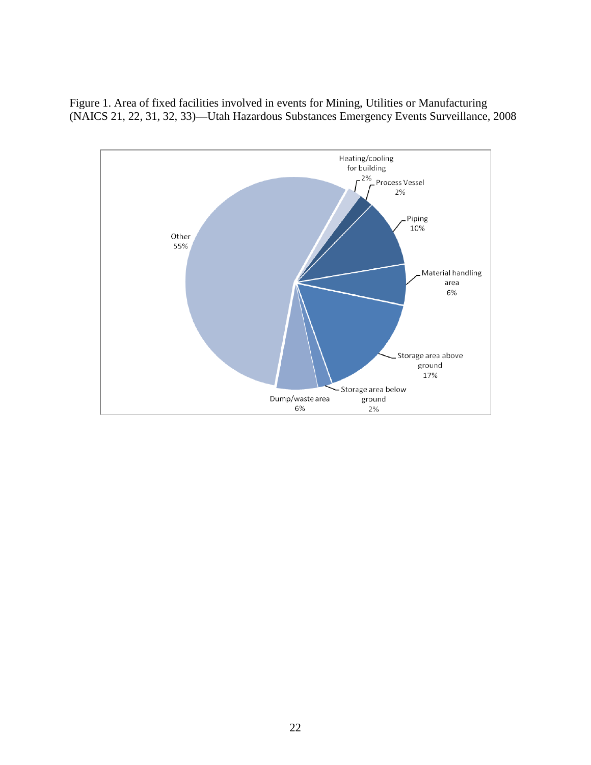Figure 1. Area of fixed facilities involved in events for Mining, Utilities or Manufacturing (NAICS 21, 22, 31, 32, 33)**—**Utah Hazardous Substances Emergency Events Surveillance, 2008

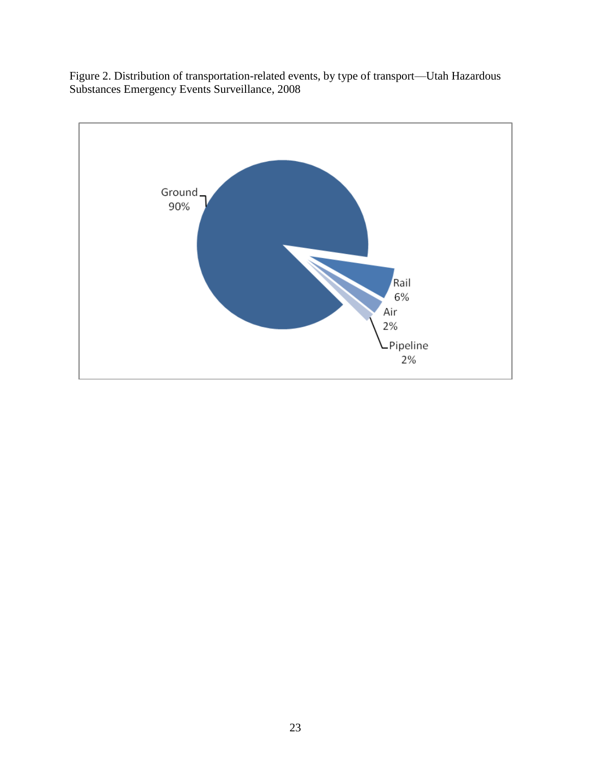Figure 2. Distribution of transportation-related events, by type of transport—Utah Hazardous Substances Emergency Events Surveillance, 2008

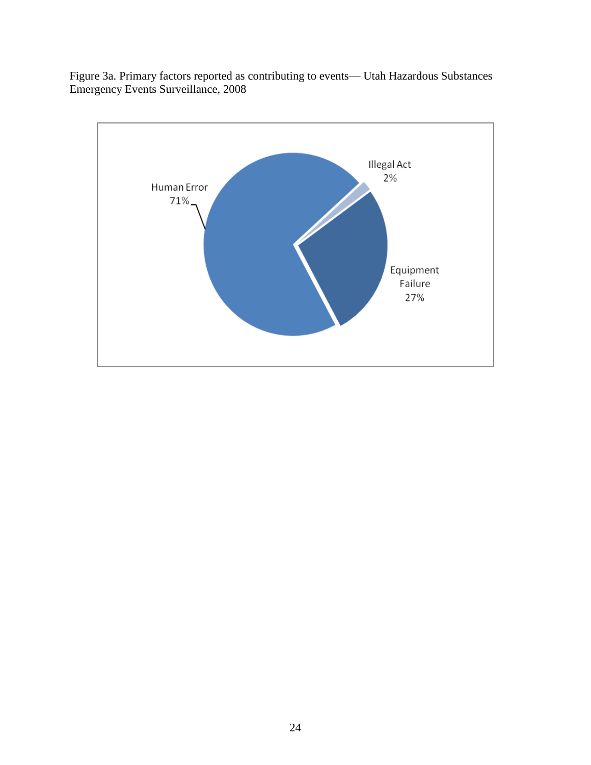Figure 3a. Primary factors reported as contributing to events— Utah Hazardous Substances Emergency Events Surveillance, 2008

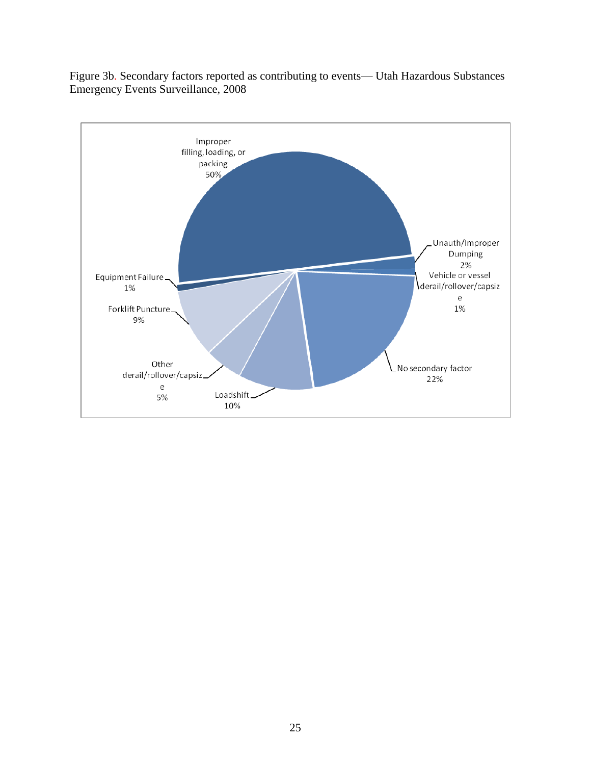Figure 3b. Secondary factors reported as contributing to events— Utah Hazardous Substances Emergency Events Surveillance, 2008

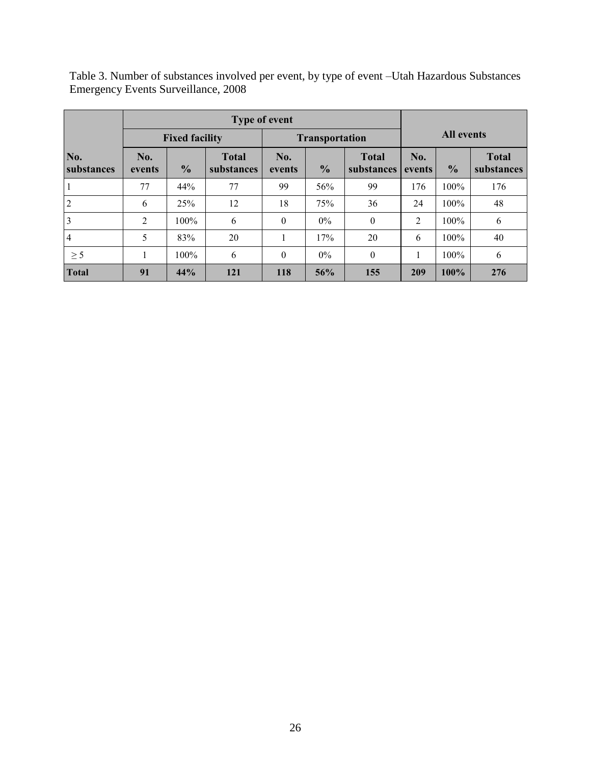| <b>Emergency Events Surveillance, 2008</b> |                                                |  |       |     |  |              |            |  |              |
|--------------------------------------------|------------------------------------------------|--|-------|-----|--|--------------|------------|--|--------------|
| Type of event                              |                                                |  |       |     |  |              |            |  |              |
|                                            | <b>Fixed facility</b><br><b>Transportation</b> |  |       |     |  |              | All events |  |              |
| No.                                        | No.                                            |  | Total | No. |  | <b>Total</b> | No.        |  | <b>Total</b> |

**events %**

1 77 44% 77 99 56% 99 176 100% 176 2 6 25% 12 18 75% 36 24 100% 48 3 2 100% 6 0 0% 0 2 100% 6 4 5 83% 20 1 7% 20 6 100% 40  $\geq 5$  1 100% 6 0 0% 0 1 100% 6 **Total 91 44% 121 118 56% 155 209 100% 276**

**substances**

**events %**

**substances**

**substances**

**substances** 

**events %**

Table 3. Number of substances involved per event, by type of event –Utah Hazardous Substances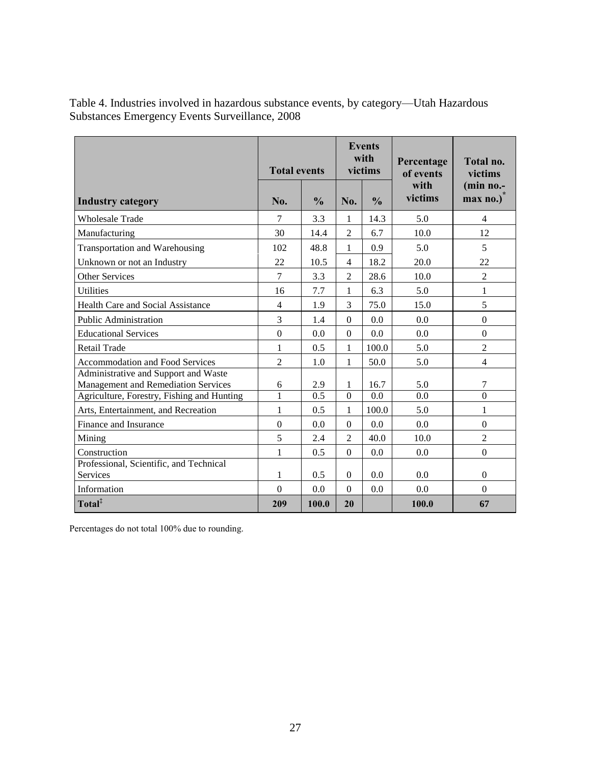Table 4. Industries involved in hazardous substance events, by category—Utah Hazardous Substances Emergency Events Surveillance, 2008

|                                                                                                                           | <b>Total events</b> |               | <b>Events</b><br>with<br>victims |               | Percentage<br>of events | Total no.<br>victims  |  |
|---------------------------------------------------------------------------------------------------------------------------|---------------------|---------------|----------------------------------|---------------|-------------------------|-----------------------|--|
| <b>Industry category</b>                                                                                                  | No.                 | $\frac{0}{0}$ | No.                              | $\frac{0}{0}$ | with<br>victims         | (min no.-<br>max no.) |  |
| <b>Wholesale Trade</b>                                                                                                    | 7                   | 3.3           | 1                                | 14.3          | 5.0                     | $\overline{4}$        |  |
| Manufacturing                                                                                                             | 30                  | 14.4          | $\overline{2}$                   | 6.7           | 10.0                    | 12                    |  |
| Transportation and Warehousing                                                                                            | 102                 | 48.8          | 1                                | 0.9           | 5.0                     | 5                     |  |
| Unknown or not an Industry                                                                                                | 22                  | 10.5          | $\overline{4}$                   | 18.2          | 20.0                    | 22                    |  |
| <b>Other Services</b>                                                                                                     | 7                   | 3.3           | $\overline{c}$                   | 28.6          | 10.0                    | $\overline{2}$        |  |
| <b>Utilities</b>                                                                                                          | 16                  | 7.7           | $\mathbf{1}$                     | 6.3           | 5.0                     | 1                     |  |
| Health Care and Social Assistance                                                                                         | $\overline{4}$      | 1.9           | 3                                | 75.0          | 15.0                    | 5                     |  |
| <b>Public Administration</b>                                                                                              | $\overline{3}$      | 1.4           | $\Omega$                         | 0.0           | 0.0                     | $\Omega$              |  |
| <b>Educational Services</b>                                                                                               | $\overline{0}$      | 0.0           | $\boldsymbol{0}$                 | 0.0           | 0.0                     | $\overline{0}$        |  |
| Retail Trade                                                                                                              | $\mathbf{1}$        | 0.5           | $\mathbf{1}$                     | 100.0         | 5.0                     | $\overline{c}$        |  |
| <b>Accommodation and Food Services</b>                                                                                    | $\overline{2}$      | 1.0           | 1                                | 50.0          | 5.0                     | 4                     |  |
| Administrative and Support and Waste<br>Management and Remediation Services<br>Agriculture, Forestry, Fishing and Hunting | 6<br>$\mathbf{1}$   | 2.9<br>0.5    | 1<br>$\overline{0}$              | 16.7<br>0.0   | 5.0<br>0.0              | 7<br>$\overline{0}$   |  |
| Arts, Entertainment, and Recreation                                                                                       | $\mathbf{1}$        | 0.5           | $\mathbf{1}$                     | 100.0         | 5.0                     | 1                     |  |
| Finance and Insurance                                                                                                     | $\Omega$            | 0.0           | $\mathbf{0}$                     | 0.0           | 0.0                     | $\mathbf{0}$          |  |
| Mining                                                                                                                    | 5                   | 2.4           | $\overline{c}$                   | 40.0          | 10.0                    | $\overline{2}$        |  |
| Construction                                                                                                              | $\mathbf{1}$        | 0.5           | $\overline{0}$                   | 0.0           | 0.0                     | $\boldsymbol{0}$      |  |
| Professional, Scientific, and Technical                                                                                   |                     |               |                                  |               |                         |                       |  |
| Services                                                                                                                  | 1                   | 0.5           | $\boldsymbol{0}$                 | 0.0           | 0.0                     | $\mathbf{0}$          |  |
| Information                                                                                                               | $\Omega$            | 0.0           | $\theta$                         | 0.0           | 0.0                     | $\Omega$              |  |
| Total <sup>‡</sup>                                                                                                        | 209                 | 100.0         | 20                               |               | 100.0                   | 67                    |  |

Percentages do not total 100% due to rounding.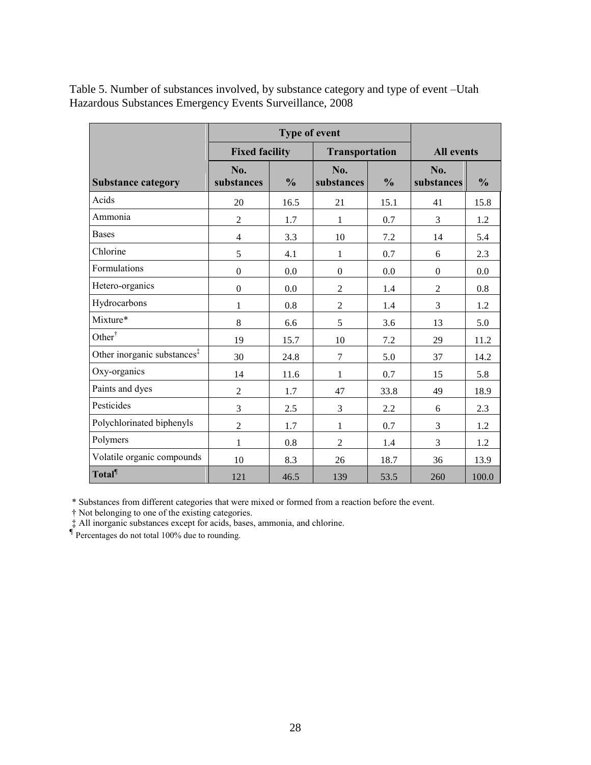|                                         |                   | <b>Fixed facility</b><br><b>Transportation</b> |                   |               | <b>All events</b> |               |  |
|-----------------------------------------|-------------------|------------------------------------------------|-------------------|---------------|-------------------|---------------|--|
| <b>Substance category</b>               | No.<br>substances | $\frac{0}{0}$                                  | No.<br>substances | $\frac{0}{0}$ | No.<br>substances | $\frac{0}{0}$ |  |
| Acids                                   | 20                | 16.5                                           | 21                | 15.1          | 41                | 15.8          |  |
| Ammonia                                 | $\mathbf{2}$      | 1.7                                            | 1                 | 0.7           | 3                 | 1.2           |  |
| <b>Bases</b>                            | $\overline{4}$    | 3.3                                            | 10                | 7.2           | 14                | 5.4           |  |
| Chlorine                                | 5                 | 4.1                                            | $\mathbf{1}$      | 0.7           | 6                 | 2.3           |  |
| <b>Formulations</b>                     | $\boldsymbol{0}$  | 0.0                                            | $\theta$          | 0.0           | $\mathbf{0}$      | 0.0           |  |
| Hetero-organics                         | $\boldsymbol{0}$  | 0.0                                            | $\overline{2}$    | 1.4           | $\overline{2}$    | 0.8           |  |
| Hydrocarbons                            | 1                 | 0.8                                            | $\overline{2}$    | 1.4           | 3                 | 1.2           |  |
| Mixture*                                | 8                 | 6.6                                            | 5                 | 3.6           | 13                | 5.0           |  |
| Other <sup>†</sup>                      | 19                | 15.7                                           | 10                | 7.2           | 29                | 11.2          |  |
| Other inorganic substances <sup>‡</sup> | 30                | 24.8                                           | $\overline{7}$    | 5.0           | 37                | 14.2          |  |
| Oxy-organics                            | 14                | 11.6                                           | $\mathbf 1$       | 0.7           | 15                | 5.8           |  |
| Paints and dyes                         | $\overline{2}$    | 1.7                                            | 47                | 33.8          | 49                | 18.9          |  |
| Pesticides                              | 3                 | 2.5                                            | 3                 | 2.2           | 6                 | 2.3           |  |
| Polychlorinated biphenyls               | $\overline{2}$    | 1.7                                            | 1                 | 0.7           | 3                 | 1.2           |  |
| Polymers                                | 1                 | 0.8                                            | $\overline{2}$    | 1.4           | 3                 | 1.2           |  |
| Volatile organic compounds              | 10                | 8.3                                            | 26                | 18.7          | 36                | 13.9          |  |
| Total                                   | 121               | 46.5                                           | 139               | 53.5          | 260               | 100.0         |  |

Table 5. Number of substances involved, by substance category and type of event –Utah Hazardous Substances Emergency Events Surveillance, 2008

\* Substances from different categories that were mixed or formed from a reaction before the event.

† Not belonging to one of the existing categories.

‡ All inorganic substances except for acids, bases, ammonia, and chlorine. **¶** Percentages do not total 100% due to rounding.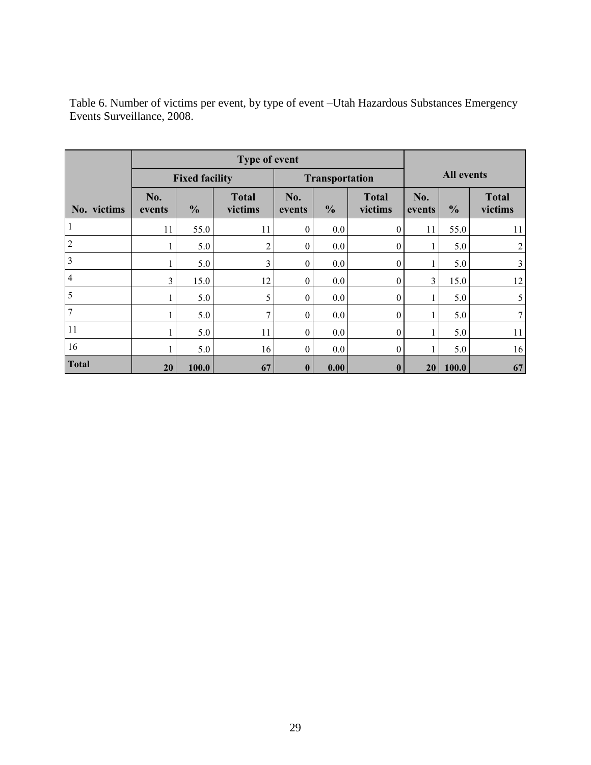|                | Type of event |                       |                         |                  |                |                         |                   |               |                         |  |
|----------------|---------------|-----------------------|-------------------------|------------------|----------------|-------------------------|-------------------|---------------|-------------------------|--|
|                |               | <b>Fixed facility</b> |                         |                  | Transportation |                         | <b>All events</b> |               |                         |  |
| No. victims    | No.<br>events | $\frac{0}{0}$         | <b>Total</b><br>victims | No.<br>events    | $\frac{0}{0}$  | <b>Total</b><br>victims | No.<br>events     | $\frac{6}{6}$ | <b>Total</b><br>victims |  |
| 1              | 11            | 55.0                  | 11                      | $\mathbf{0}$     | 0.0            | $\boldsymbol{0}$        | 11                | 55.0          | 11                      |  |
| $\overline{2}$ |               | 5.0                   | $\overline{c}$          | $\mathbf{0}$     | 0.0            | $\boldsymbol{0}$        |                   | 5.0           | $\overline{2}$          |  |
| 3              |               | 5.0                   | 3                       | $\theta$         | 0.0            | $\overline{0}$          |                   | 5.0           | $\mathfrak{Z}$          |  |
| $\overline{4}$ | 3             | 15.0                  | 12                      | $\mathbf{0}$     | 0.0            | $\mathbf{0}$            | 3                 | 15.0          | 12                      |  |
| 5              |               | 5.0                   | 5                       | $\theta$         | 0.0            | $\boldsymbol{0}$        |                   | 5.0           | 5                       |  |
| $\overline{7}$ |               | 5.0                   | 7                       | $\boldsymbol{0}$ | 0.0            | $\boldsymbol{0}$        |                   | 5.0           | $\tau$                  |  |
| 11             |               | 5.0                   | 11                      | $\Omega$         | 0.0            | $\boldsymbol{0}$        |                   | 5.0           | 11                      |  |
| 16             |               | 5.0                   | 16                      | $\theta$         | 0.0            | $\boldsymbol{0}$        |                   | 5.0           | 16                      |  |
| <b>Total</b>   | 20            | 100.0                 | 67                      | $\bf{0}$         | 0.00           | $\bf{0}$                | 20                | 100.0         | 67                      |  |

Table 6. Number of victims per event, by type of event –Utah Hazardous Substances Emergency Events Surveillance, 2008.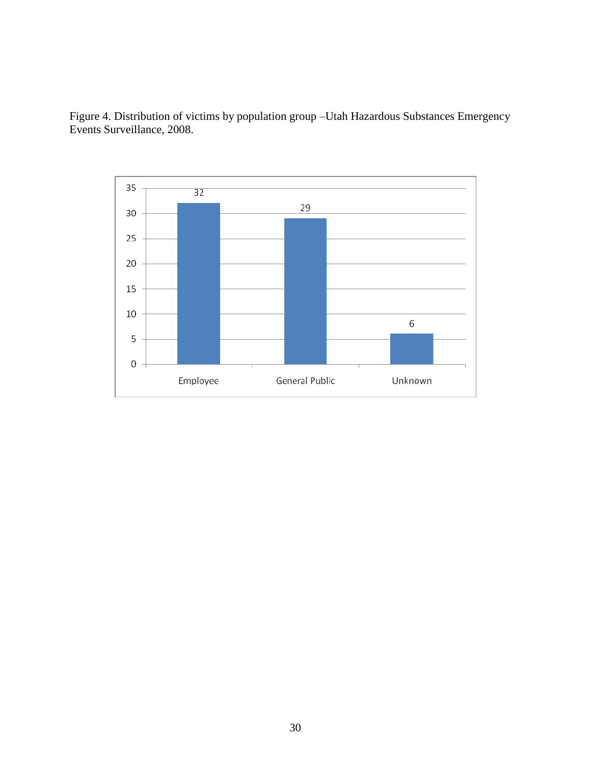

Figure 4. Distribution of victims by population group –Utah Hazardous Substances Emergency Events Surveillance, 2008.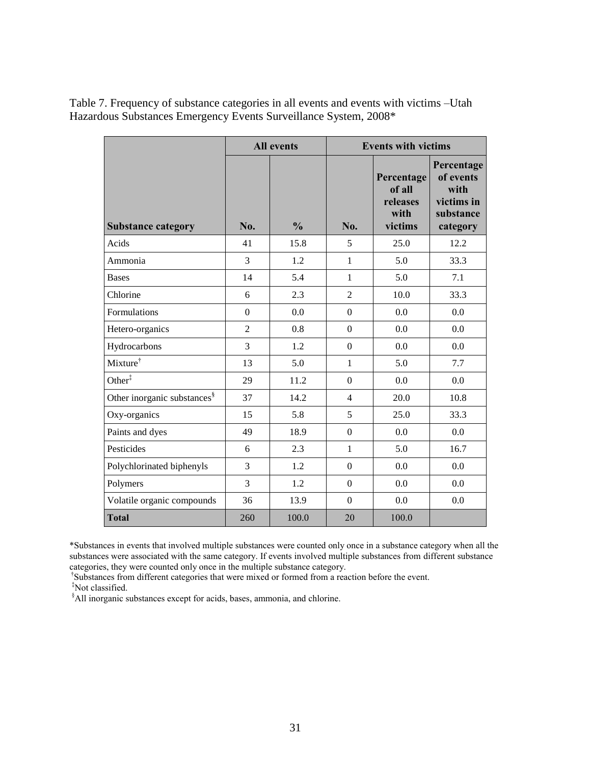|                                         |                  | <b>All events</b> | <b>Events with victims</b> |                                                     |                                                                        |  |
|-----------------------------------------|------------------|-------------------|----------------------------|-----------------------------------------------------|------------------------------------------------------------------------|--|
| <b>Substance category</b>               | No.              | $\frac{0}{0}$     | No.                        | Percentage<br>of all<br>releases<br>with<br>victims | Percentage<br>of events<br>with<br>victims in<br>substance<br>category |  |
| Acids                                   | 41               | 15.8              | 5                          | 25.0                                                | 12.2                                                                   |  |
| Ammonia                                 | 3                | 1.2               | $\mathbf{1}$               | 5.0                                                 | 33.3                                                                   |  |
| <b>Bases</b>                            | 14               | 5.4               | 1                          | 5.0                                                 | 7.1                                                                    |  |
| Chlorine                                | 6                | 2.3               | $\overline{2}$             | 10.0                                                | 33.3                                                                   |  |
| Formulations                            | $\boldsymbol{0}$ | 0.0               | $\overline{0}$             | 0.0                                                 | 0.0                                                                    |  |
| Hetero-organics                         | $\overline{2}$   | 0.8               | $\boldsymbol{0}$           | 0.0                                                 | 0.0                                                                    |  |
| Hydrocarbons                            | 3                | 1.2               | $\overline{0}$             | 0.0                                                 | 0.0                                                                    |  |
| Mixture <sup>†</sup>                    | 13               | 5.0               | $\mathbf{1}$               | 5.0                                                 | 7.7                                                                    |  |
| Other <sup>‡</sup>                      | 29               | 11.2              | $\boldsymbol{0}$           | 0.0                                                 | 0.0                                                                    |  |
| Other inorganic substances <sup>§</sup> | 37               | 14.2              | $\overline{4}$             | 20.0                                                | 10.8                                                                   |  |
| Oxy-organics                            | 15               | 5.8               | 5                          | 25.0                                                | 33.3                                                                   |  |
| Paints and dyes                         | 49               | 18.9              | $\overline{0}$             | 0.0                                                 | 0.0                                                                    |  |
| Pesticides                              | 6                | 2.3               | $\mathbf{1}$               | 5.0                                                 | 16.7                                                                   |  |
| Polychlorinated biphenyls               | 3                | 1.2               | $\boldsymbol{0}$           | 0.0                                                 | 0.0                                                                    |  |
| Polymers                                | 3                | 1.2               | $\overline{0}$             | 0.0                                                 | 0.0                                                                    |  |
| Volatile organic compounds              | 36               | 13.9              | $\theta$                   | 0.0                                                 | 0.0                                                                    |  |
| <b>Total</b>                            | 260              | 100.0             | 20                         | 100.0                                               |                                                                        |  |

Table 7. Frequency of substance categories in all events and events with victims –Utah Hazardous Substances Emergency Events Surveillance System, 2008\*

\*Substances in events that involved multiple substances were counted only once in a substance category when all the substances were associated with the same category. If events involved multiple substances from different substance categories, they were counted only once in the multiple substance category.

† Substances from different categories that were mixed or formed from a reaction before the event.

‡Not classified.

§All inorganic substances except for acids, bases, ammonia, and chlorine.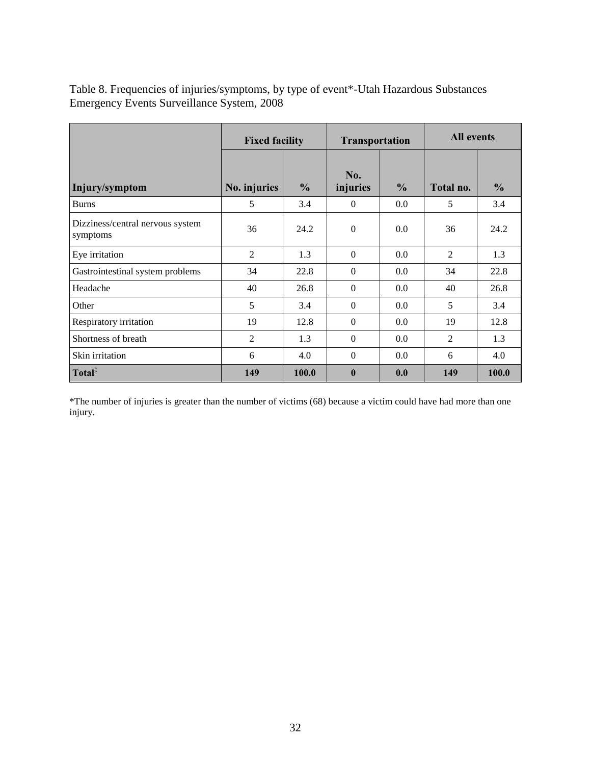Table 8. Frequencies of injuries/symptoms, by type of event\*-Utah Hazardous Substances Emergency Events Surveillance System, 2008

|                                              | <b>Fixed facility</b> |               | <b>Transportation</b> |               | <b>All events</b> |               |  |
|----------------------------------------------|-----------------------|---------------|-----------------------|---------------|-------------------|---------------|--|
| Injury/symptom                               | No. injuries          | $\frac{6}{6}$ | No.<br>injuries       | $\frac{6}{6}$ | Total no.         | $\frac{0}{0}$ |  |
| <b>Burns</b>                                 | 5                     | 3.4           | $\theta$              | 0.0           | 5                 | 3.4           |  |
| Dizziness/central nervous system<br>symptoms | 36                    | 24.2          | $\Omega$              | 0.0           | 36                | 24.2          |  |
| Eye irritation                               | $\overline{2}$        | 1.3           | $\theta$              | 0.0           | 2                 | 1.3           |  |
| Gastrointestinal system problems             | 34                    | 22.8          | $\Omega$              | 0.0           | 34                | 22.8          |  |
| Headache                                     | 40                    | 26.8          | $\Omega$              | 0.0           | 40                | 26.8          |  |
| Other                                        | 5                     | 3.4           | $\Omega$              | 0.0           | 5                 | 3.4           |  |
| Respiratory irritation                       | 19                    | 12.8          | $\Omega$              | 0.0           | 19                | 12.8          |  |
| Shortness of breath                          | $\overline{2}$        | 1.3           | $\Omega$              | 0.0           | 2                 | 1.3           |  |
| Skin irritation                              | 6                     | 4.0           | $\Omega$              | 0.0           | 6                 | 4.0           |  |
| Total <sup>‡</sup>                           | 149                   | 100.0         | $\mathbf{0}$          | 0.0           | 149               | 100.0         |  |

\*The number of injuries is greater than the number of victims (68) because a victim could have had more than one injury.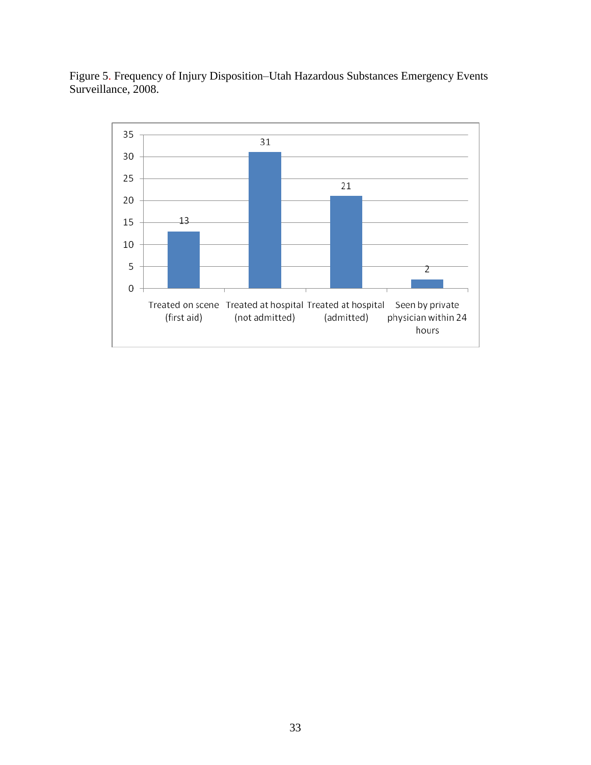Figure 5. Frequency of Injury Disposition–Utah Hazardous Substances Emergency Events Surveillance, 2008.

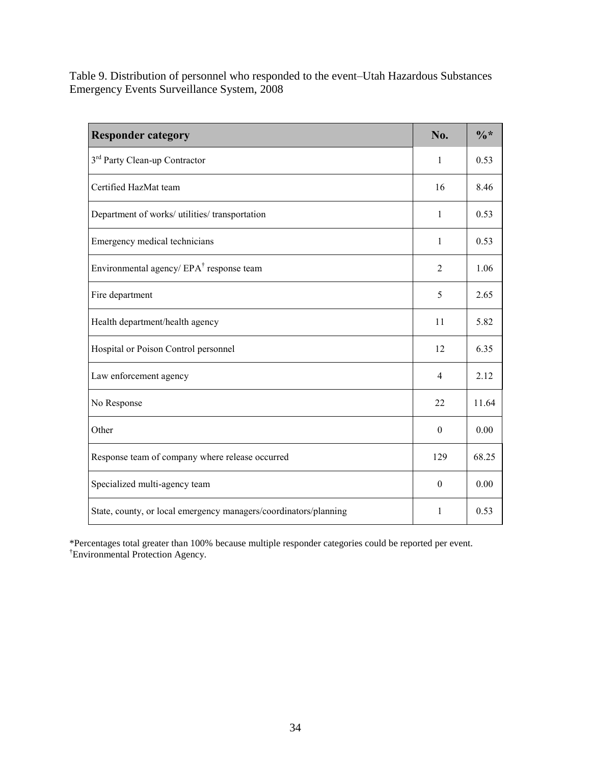Table 9. Distribution of personnel who responded to the event–Utah Hazardous Substances Emergency Events Surveillance System, 2008

| <b>Responder category</b>                                        | No.            | $\frac{0}{6}$ * |
|------------------------------------------------------------------|----------------|-----------------|
| 3 <sup>rd</sup> Party Clean-up Contractor                        | 1              | 0.53            |
| Certified HazMat team                                            | 16             | 8.46            |
| Department of works/ utilities/ transportation                   | $\mathbf{1}$   | 0.53            |
| Emergency medical technicians                                    | $\mathbf{1}$   | 0.53            |
| Environmental agency/EPA <sup>†</sup> response team              | $\overline{2}$ | 1.06            |
| Fire department                                                  | 5              | 2.65            |
| Health department/health agency                                  | 11             | 5.82            |
| Hospital or Poison Control personnel                             | 12             | 6.35            |
| Law enforcement agency                                           | $\overline{4}$ | 2.12            |
| No Response                                                      | 22             | 11.64           |
| Other                                                            | $\theta$       | 0.00            |
| Response team of company where release occurred                  | 129            | 68.25           |
| Specialized multi-agency team                                    | $\mathbf{0}$   | 0.00            |
| State, county, or local emergency managers/coordinators/planning | 1              | 0.53            |

\*Percentages total greater than 100% because multiple responder categories could be reported per event. †Environmental Protection Agency.